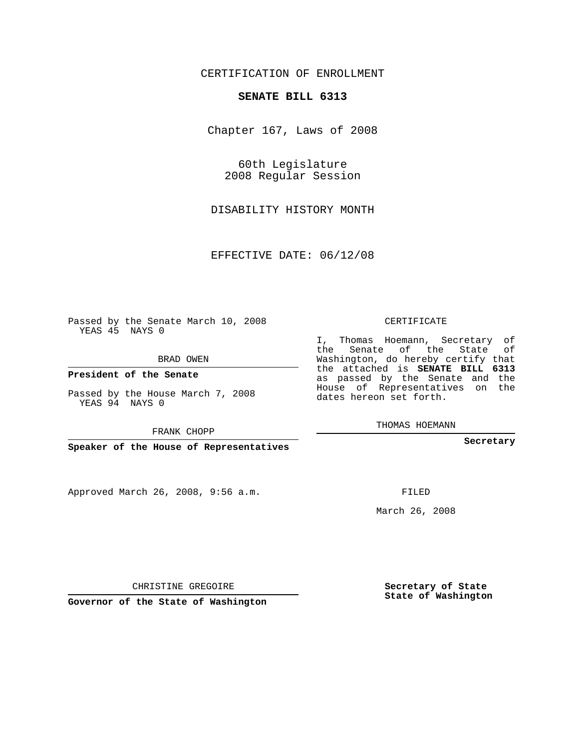## CERTIFICATION OF ENROLLMENT

### **SENATE BILL 6313**

Chapter 167, Laws of 2008

60th Legislature 2008 Regular Session

DISABILITY HISTORY MONTH

EFFECTIVE DATE: 06/12/08

Passed by the Senate March 10, 2008 YEAS 45 NAYS 0

BRAD OWEN

**President of the Senate**

Passed by the House March 7, 2008 YEAS 94 NAYS 0

FRANK CHOPP

**Speaker of the House of Representatives**

Approved March 26, 2008, 9:56 a.m.

CERTIFICATE

I, Thomas Hoemann, Secretary of the Senate of the State of Washington, do hereby certify that the attached is **SENATE BILL 6313** as passed by the Senate and the House of Representatives on the dates hereon set forth.

THOMAS HOEMANN

**Secretary**

FILED

March 26, 2008

**Secretary of State State of Washington**

CHRISTINE GREGOIRE

**Governor of the State of Washington**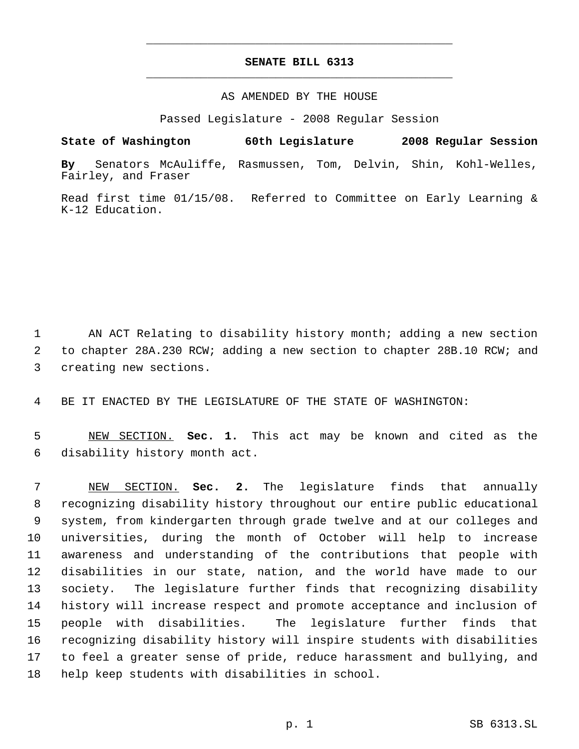# **SENATE BILL 6313** \_\_\_\_\_\_\_\_\_\_\_\_\_\_\_\_\_\_\_\_\_\_\_\_\_\_\_\_\_\_\_\_\_\_\_\_\_\_\_\_\_\_\_\_\_

\_\_\_\_\_\_\_\_\_\_\_\_\_\_\_\_\_\_\_\_\_\_\_\_\_\_\_\_\_\_\_\_\_\_\_\_\_\_\_\_\_\_\_\_\_

### AS AMENDED BY THE HOUSE

Passed Legislature - 2008 Regular Session

**State of Washington 60th Legislature 2008 Regular Session**

**By** Senators McAuliffe, Rasmussen, Tom, Delvin, Shin, Kohl-Welles, Fairley, and Fraser

Read first time 01/15/08. Referred to Committee on Early Learning & K-12 Education.

 AN ACT Relating to disability history month; adding a new section to chapter 28A.230 RCW; adding a new section to chapter 28B.10 RCW; and creating new sections.

BE IT ENACTED BY THE LEGISLATURE OF THE STATE OF WASHINGTON:

 NEW SECTION. **Sec. 1.** This act may be known and cited as the disability history month act.

 NEW SECTION. **Sec. 2.** The legislature finds that annually recognizing disability history throughout our entire public educational system, from kindergarten through grade twelve and at our colleges and universities, during the month of October will help to increase awareness and understanding of the contributions that people with disabilities in our state, nation, and the world have made to our society. The legislature further finds that recognizing disability history will increase respect and promote acceptance and inclusion of people with disabilities. The legislature further finds that recognizing disability history will inspire students with disabilities to feel a greater sense of pride, reduce harassment and bullying, and help keep students with disabilities in school.